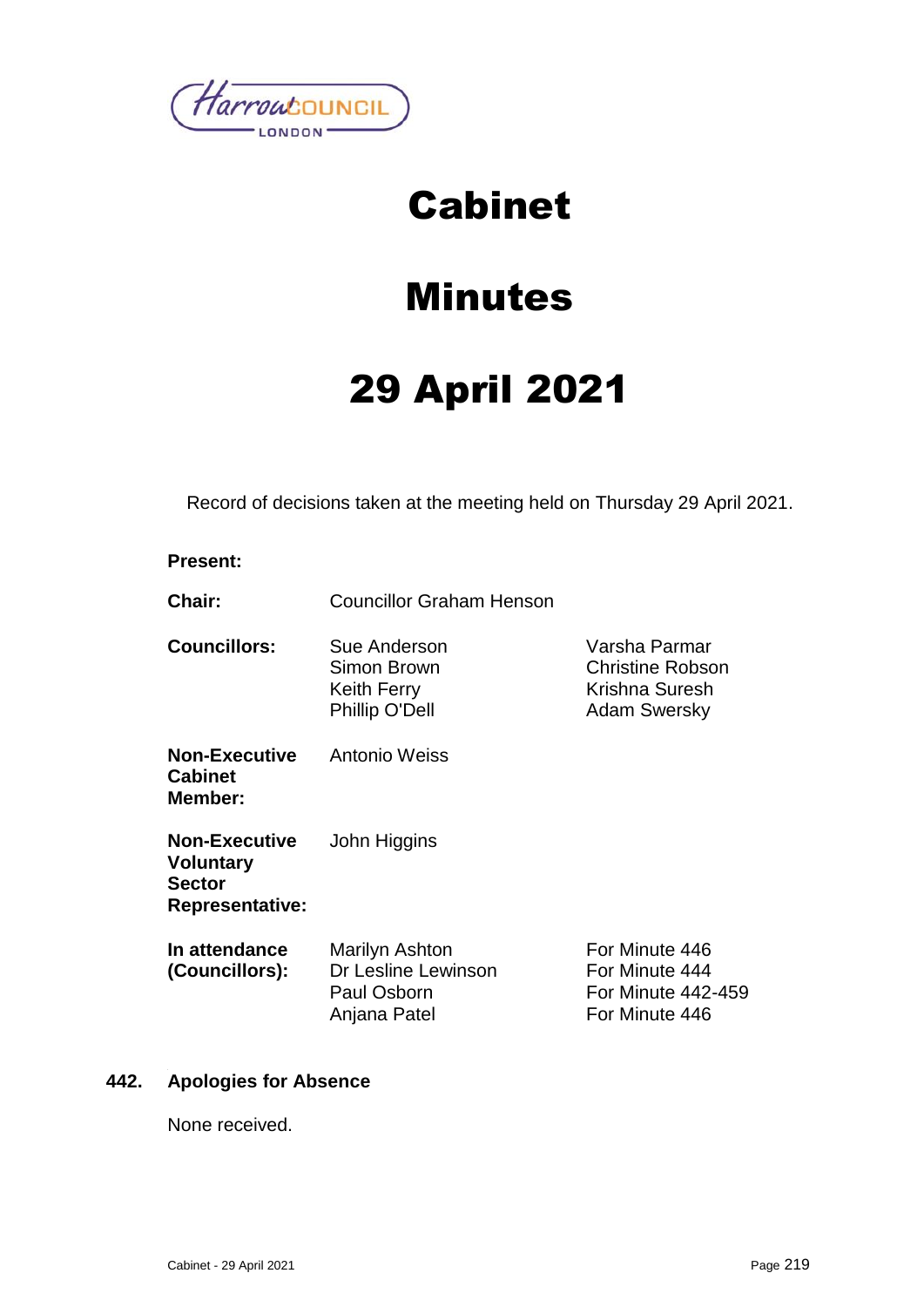

# Cabinet

# Minutes

# 29 April 2021

Record of decisions taken at the meeting held on Thursday 29 April 2021.

#### **Present:**

**Chair:** Councillor Graham Henson

**Councillors:** Sue Anderson Simon Brown Keith Ferry Phillip O'Dell

**Non-Executive Cabinet Member:** Antonio Weiss

**Non-Executive Voluntary Sector Representative:** John Higgins Varsha Parmar Christine Robson Krishna Suresh Adam Swersky

**In attendance (Councillors):** Marilyn Ashton Dr Lesline Lewinson Paul Osborn Anjana Patel For Minute 446 For Minute 444 For Minute 442-459 For Minute 446

#### **442. Apologies for Absence**

None received.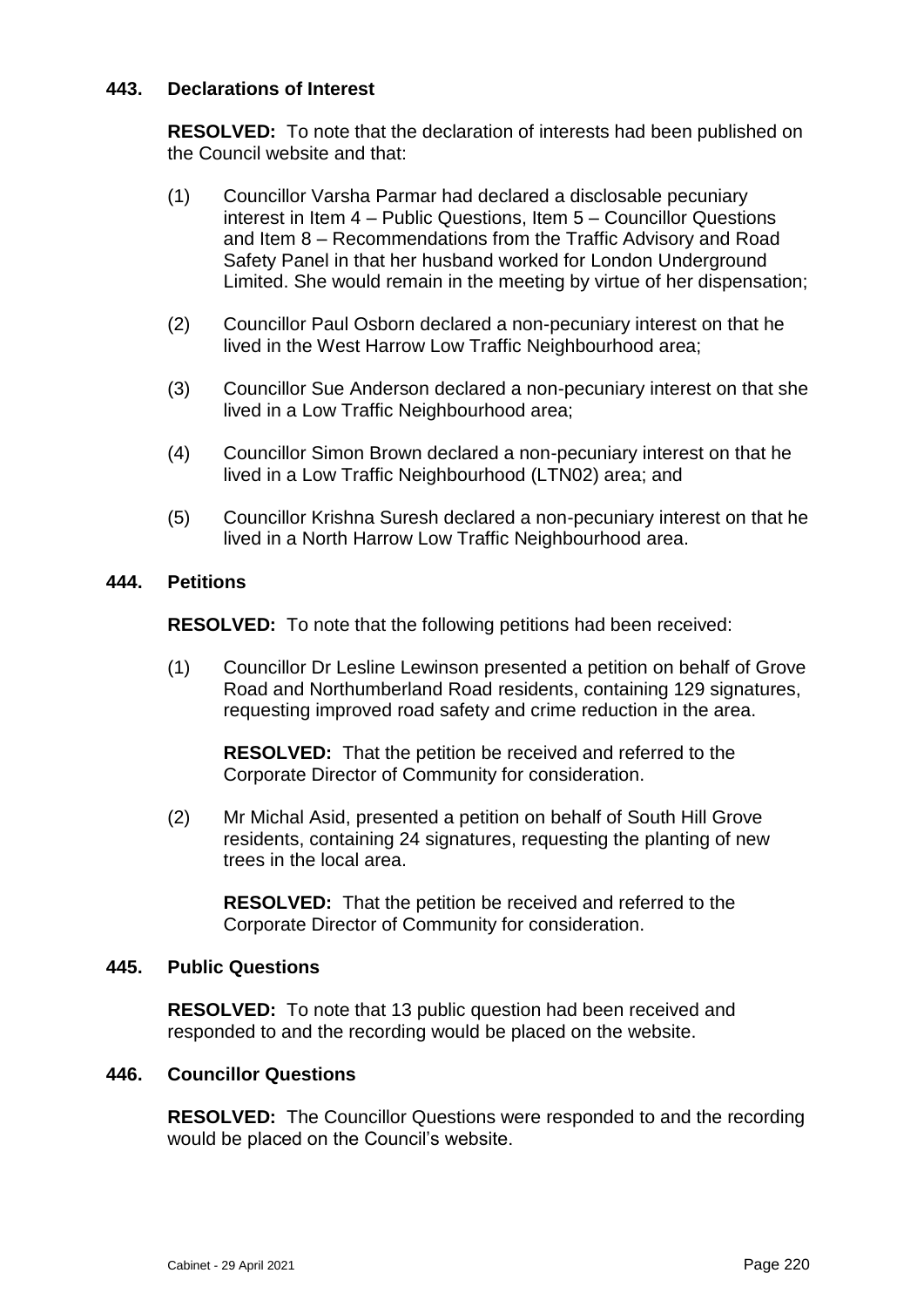# **443. Declarations of Interest**

**RESOLVED:** To note that the declaration of interests had been published on the Council website and that:

- (1) Councillor Varsha Parmar had declared a disclosable pecuniary interest in Item 4 – Public Questions, Item 5 – Councillor Questions and Item 8 – Recommendations from the Traffic Advisory and Road Safety Panel in that her husband worked for London Underground Limited. She would remain in the meeting by virtue of her dispensation;
- (2) Councillor Paul Osborn declared a non-pecuniary interest on that he lived in the West Harrow Low Traffic Neighbourhood area;
- (3) Councillor Sue Anderson declared a non-pecuniary interest on that she lived in a Low Traffic Neighbourhood area;
- (4) Councillor Simon Brown declared a non-pecuniary interest on that he lived in a Low Traffic Neighbourhood (LTN02) area; and
- (5) Councillor Krishna Suresh declared a non-pecuniary interest on that he lived in a North Harrow Low Traffic Neighbourhood area.

#### **444. Petitions**

**RESOLVED:** To note that the following petitions had been received:

(1) Councillor Dr Lesline Lewinson presented a petition on behalf of Grove Road and Northumberland Road residents, containing 129 signatures, requesting improved road safety and crime reduction in the area.

**RESOLVED:** That the petition be received and referred to the Corporate Director of Community for consideration.

(2) Mr Michal Asid, presented a petition on behalf of South Hill Grove residents, containing 24 signatures, requesting the planting of new trees in the local area.

**RESOLVED:** That the petition be received and referred to the Corporate Director of Community for consideration.

#### **445. Public Questions**

**RESOLVED:** To note that 13 public question had been received and responded to and the recording would be placed on the website.

#### **446. Councillor Questions**

**RESOLVED:** The Councillor Questions were responded to and the recording would be placed on the Council's website.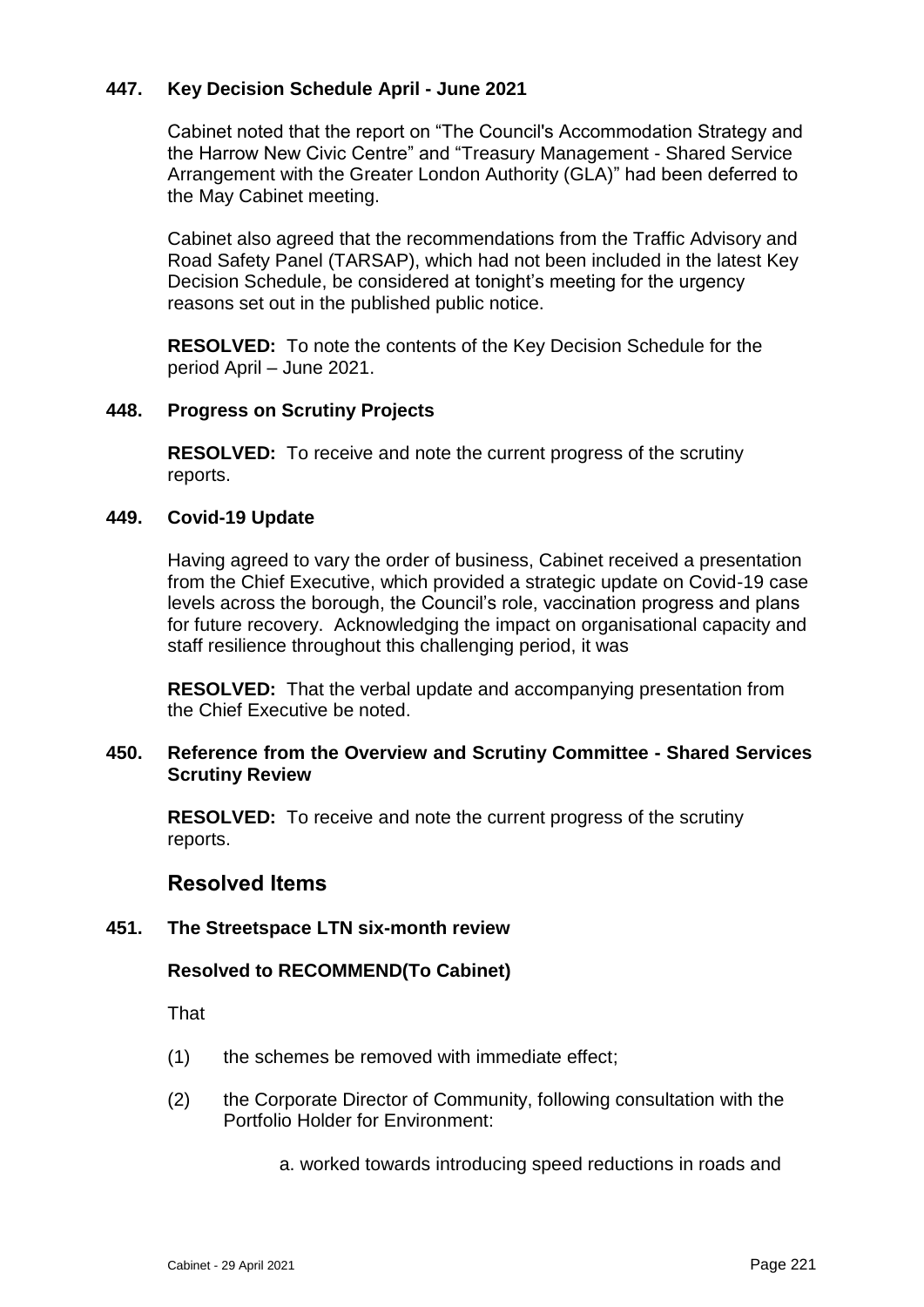# **447. Key Decision Schedule April - June 2021**

Cabinet noted that the report on "The Council's Accommodation Strategy and the Harrow New Civic Centre" and "Treasury Management - Shared Service Arrangement with the Greater London Authority (GLA)" had been deferred to the May Cabinet meeting.

Cabinet also agreed that the recommendations from the Traffic Advisory and Road Safety Panel (TARSAP), which had not been included in the latest Key Decision Schedule, be considered at tonight's meeting for the urgency reasons set out in the published public notice.

**RESOLVED:** To note the contents of the Key Decision Schedule for the period April – June 2021.

## **448. Progress on Scrutiny Projects**

**RESOLVED:** To receive and note the current progress of the scrutiny reports.

## **449. Covid-19 Update**

Having agreed to vary the order of business, Cabinet received a presentation from the Chief Executive, which provided a strategic update on Covid-19 case levels across the borough, the Council's role, vaccination progress and plans for future recovery. Acknowledging the impact on organisational capacity and staff resilience throughout this challenging period, it was

**RESOLVED:** That the verbal update and accompanying presentation from the Chief Executive be noted.

## **450. Reference from the Overview and Scrutiny Committee - Shared Services Scrutiny Review**

**RESOLVED:** To receive and note the current progress of the scrutiny reports.

# **Resolved Items**

#### **451. The Streetspace LTN six-month review**

# **Resolved to RECOMMEND(To Cabinet)**

That

- (1) the schemes be removed with immediate effect;
- (2) the Corporate Director of Community, following consultation with the Portfolio Holder for Environment:
	- a. worked towards introducing speed reductions in roads and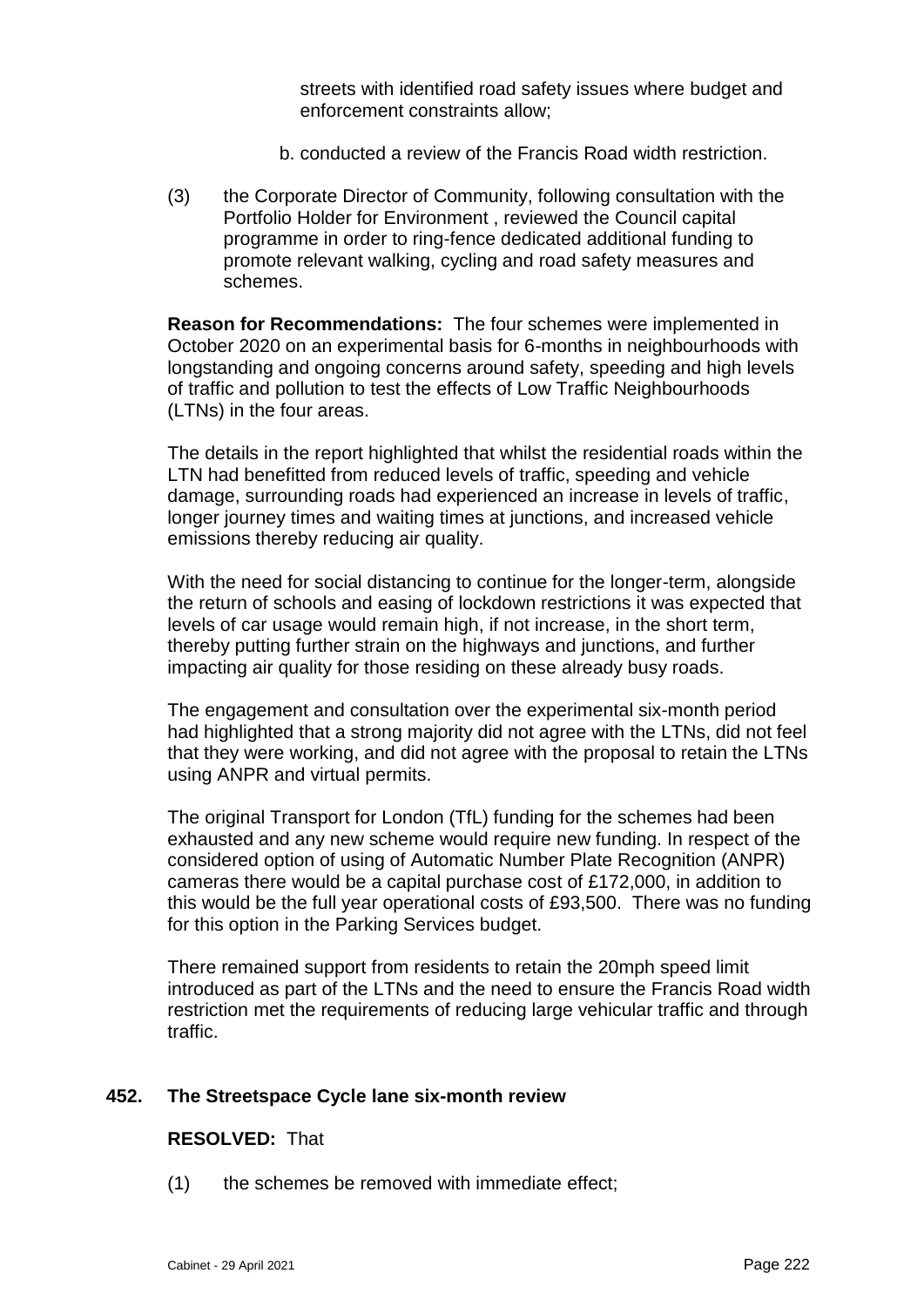streets with identified road safety issues where budget and enforcement constraints allow;

- b. conducted a review of the Francis Road width restriction.
- (3) the Corporate Director of Community, following consultation with the Portfolio Holder for Environment , reviewed the Council capital programme in order to ring-fence dedicated additional funding to promote relevant walking, cycling and road safety measures and schemes.

**Reason for Recommendations:** The four schemes were implemented in October 2020 on an experimental basis for 6-months in neighbourhoods with longstanding and ongoing concerns around safety, speeding and high levels of traffic and pollution to test the effects of Low Traffic Neighbourhoods (LTNs) in the four areas.

The details in the report highlighted that whilst the residential roads within the LTN had benefitted from reduced levels of traffic, speeding and vehicle damage, surrounding roads had experienced an increase in levels of traffic, longer journey times and waiting times at junctions, and increased vehicle emissions thereby reducing air quality.

With the need for social distancing to continue for the longer-term, alongside the return of schools and easing of lockdown restrictions it was expected that levels of car usage would remain high, if not increase, in the short term, thereby putting further strain on the highways and junctions, and further impacting air quality for those residing on these already busy roads.

The engagement and consultation over the experimental six-month period had highlighted that a strong majority did not agree with the LTNs, did not feel that they were working, and did not agree with the proposal to retain the LTNs using ANPR and virtual permits.

The original Transport for London (TfL) funding for the schemes had been exhausted and any new scheme would require new funding. In respect of the considered option of using of Automatic Number Plate Recognition (ANPR) cameras there would be a capital purchase cost of £172,000, in addition to this would be the full year operational costs of £93,500. There was no funding for this option in the Parking Services budget.

There remained support from residents to retain the 20mph speed limit introduced as part of the LTNs and the need to ensure the Francis Road width restriction met the requirements of reducing large vehicular traffic and through traffic.

# **452. The Streetspace Cycle lane six-month review**

# **RESOLVED:** That

(1) the schemes be removed with immediate effect;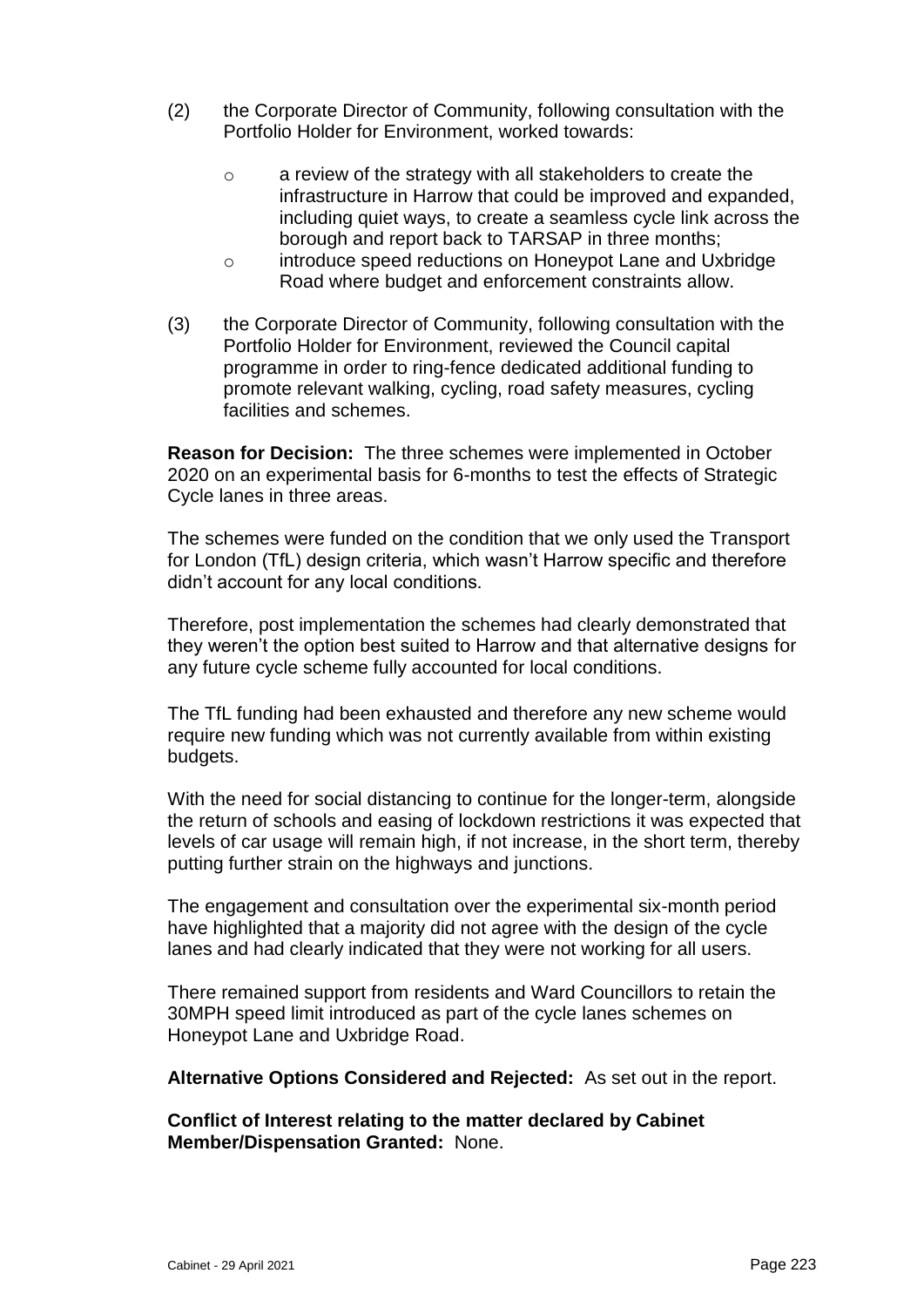- (2) the Corporate Director of Community, following consultation with the Portfolio Holder for Environment, worked towards:
	- o a review of the strategy with all stakeholders to create the infrastructure in Harrow that could be improved and expanded, including quiet ways, to create a seamless cycle link across the borough and report back to TARSAP in three months;
	- o introduce speed reductions on Honeypot Lane and Uxbridge Road where budget and enforcement constraints allow.
- (3) the Corporate Director of Community, following consultation with the Portfolio Holder for Environment, reviewed the Council capital programme in order to ring-fence dedicated additional funding to promote relevant walking, cycling, road safety measures, cycling facilities and schemes.

**Reason for Decision:** The three schemes were implemented in October 2020 on an experimental basis for 6-months to test the effects of Strategic Cycle lanes in three areas.

The schemes were funded on the condition that we only used the Transport for London (TfL) design criteria, which wasn't Harrow specific and therefore didn't account for any local conditions.

Therefore, post implementation the schemes had clearly demonstrated that they weren't the option best suited to Harrow and that alternative designs for any future cycle scheme fully accounted for local conditions.

The TfL funding had been exhausted and therefore any new scheme would require new funding which was not currently available from within existing budgets.

With the need for social distancing to continue for the longer-term, alongside the return of schools and easing of lockdown restrictions it was expected that levels of car usage will remain high, if not increase, in the short term, thereby putting further strain on the highways and junctions.

The engagement and consultation over the experimental six-month period have highlighted that a majority did not agree with the design of the cycle lanes and had clearly indicated that they were not working for all users.

There remained support from residents and Ward Councillors to retain the 30MPH speed limit introduced as part of the cycle lanes schemes on Honeypot Lane and Uxbridge Road.

**Alternative Options Considered and Rejected:** As set out in the report.

**Conflict of Interest relating to the matter declared by Cabinet Member/Dispensation Granted:** None.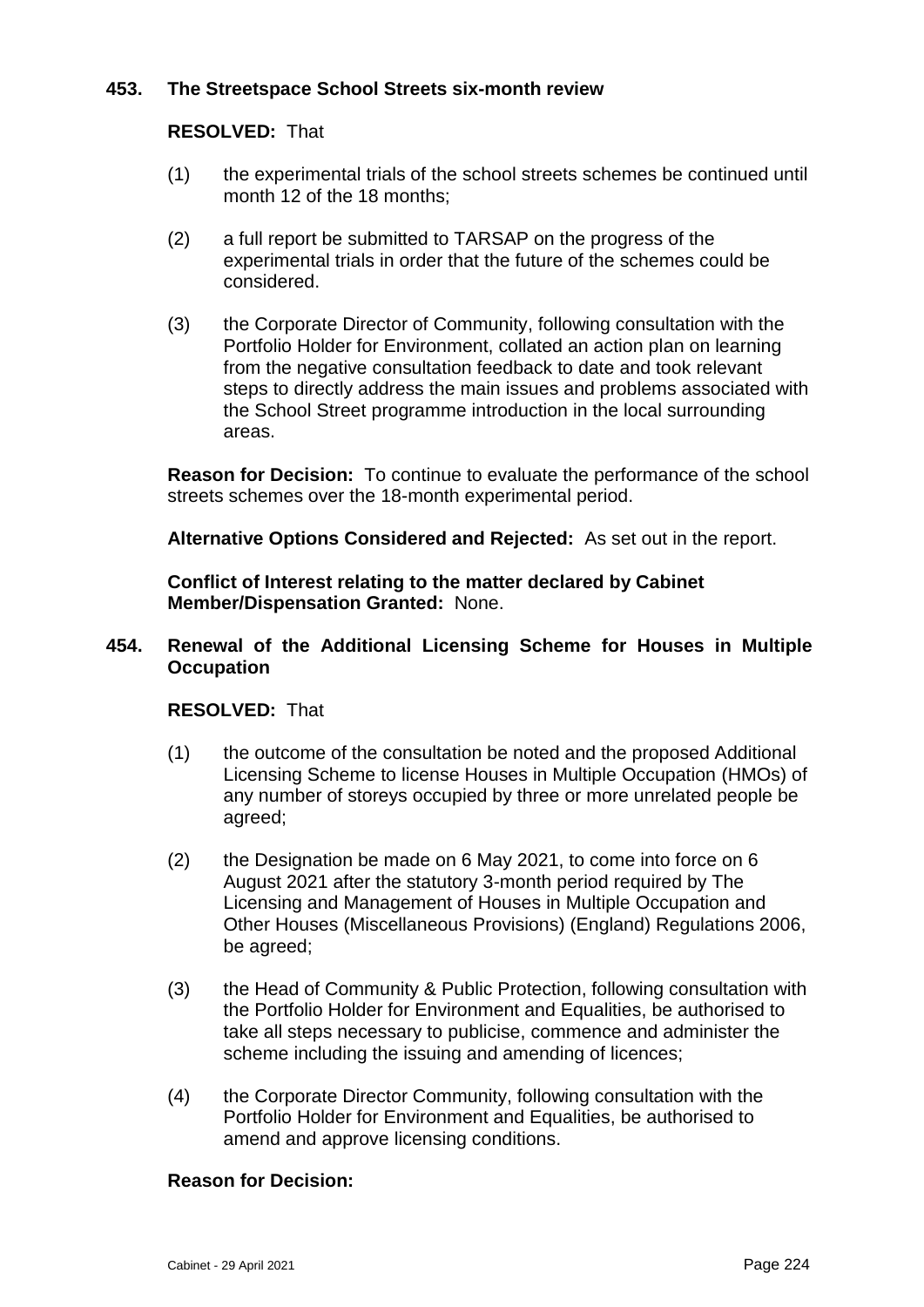# **453. The Streetspace School Streets six-month review**

## **RESOLVED:** That

- (1) the experimental trials of the school streets schemes be continued until month 12 of the 18 months;
- (2) a full report be submitted to TARSAP on the progress of the experimental trials in order that the future of the schemes could be considered.
- (3) the Corporate Director of Community, following consultation with the Portfolio Holder for Environment, collated an action plan on learning from the negative consultation feedback to date and took relevant steps to directly address the main issues and problems associated with the School Street programme introduction in the local surrounding areas.

**Reason for Decision:** To continue to evaluate the performance of the school streets schemes over the 18-month experimental period.

**Alternative Options Considered and Rejected:** As set out in the report.

**Conflict of Interest relating to the matter declared by Cabinet Member/Dispensation Granted:** None.

## **454. Renewal of the Additional Licensing Scheme for Houses in Multiple Occupation**

#### **RESOLVED:** That

- (1) the outcome of the consultation be noted and the proposed Additional Licensing Scheme to license Houses in Multiple Occupation (HMOs) of any number of storeys occupied by three or more unrelated people be agreed;
- (2) the Designation be made on 6 May 2021, to come into force on 6 August 2021 after the statutory 3-month period required by The Licensing and Management of Houses in Multiple Occupation and Other Houses (Miscellaneous Provisions) (England) Regulations 2006, be agreed;
- (3) the Head of Community & Public Protection, following consultation with the Portfolio Holder for Environment and Equalities, be authorised to take all steps necessary to publicise, commence and administer the scheme including the issuing and amending of licences;
- (4) the Corporate Director Community, following consultation with the Portfolio Holder for Environment and Equalities, be authorised to amend and approve licensing conditions.

# **Reason for Decision:**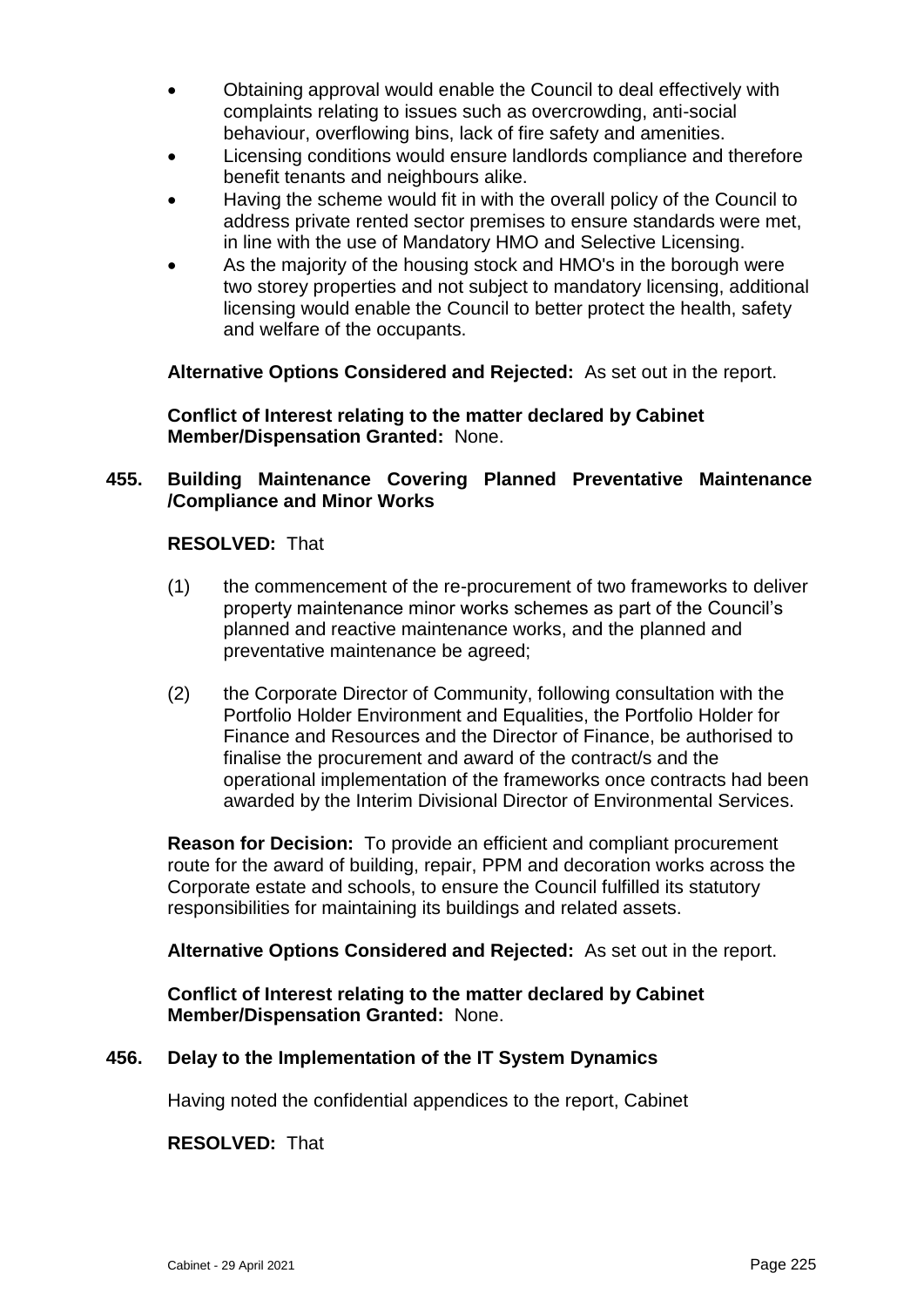- Obtaining approval would enable the Council to deal effectively with complaints relating to issues such as overcrowding, anti-social behaviour, overflowing bins, lack of fire safety and amenities.
- Licensing conditions would ensure landlords compliance and therefore benefit tenants and neighbours alike.
- Having the scheme would fit in with the overall policy of the Council to address private rented sector premises to ensure standards were met, in line with the use of Mandatory HMO and Selective Licensing.
- As the majority of the housing stock and HMO's in the borough were two storey properties and not subject to mandatory licensing, additional licensing would enable the Council to better protect the health, safety and welfare of the occupants.

**Alternative Options Considered and Rejected:** As set out in the report.

**Conflict of Interest relating to the matter declared by Cabinet Member/Dispensation Granted:** None.

# **455. Building Maintenance Covering Planned Preventative Maintenance /Compliance and Minor Works**

**RESOLVED:** That

- (1) the commencement of the re-procurement of two frameworks to deliver property maintenance minor works schemes as part of the Council's planned and reactive maintenance works, and the planned and preventative maintenance be agreed;
- (2) the Corporate Director of Community, following consultation with the Portfolio Holder Environment and Equalities, the Portfolio Holder for Finance and Resources and the Director of Finance, be authorised to finalise the procurement and award of the contract/s and the operational implementation of the frameworks once contracts had been awarded by the Interim Divisional Director of Environmental Services.

**Reason for Decision:** To provide an efficient and compliant procurement route for the award of building, repair, PPM and decoration works across the Corporate estate and schools, to ensure the Council fulfilled its statutory responsibilities for maintaining its buildings and related assets.

**Alternative Options Considered and Rejected:** As set out in the report.

**Conflict of Interest relating to the matter declared by Cabinet Member/Dispensation Granted:** None.

# **456. Delay to the Implementation of the IT System Dynamics**

Having noted the confidential appendices to the report, Cabinet

**RESOLVED:** That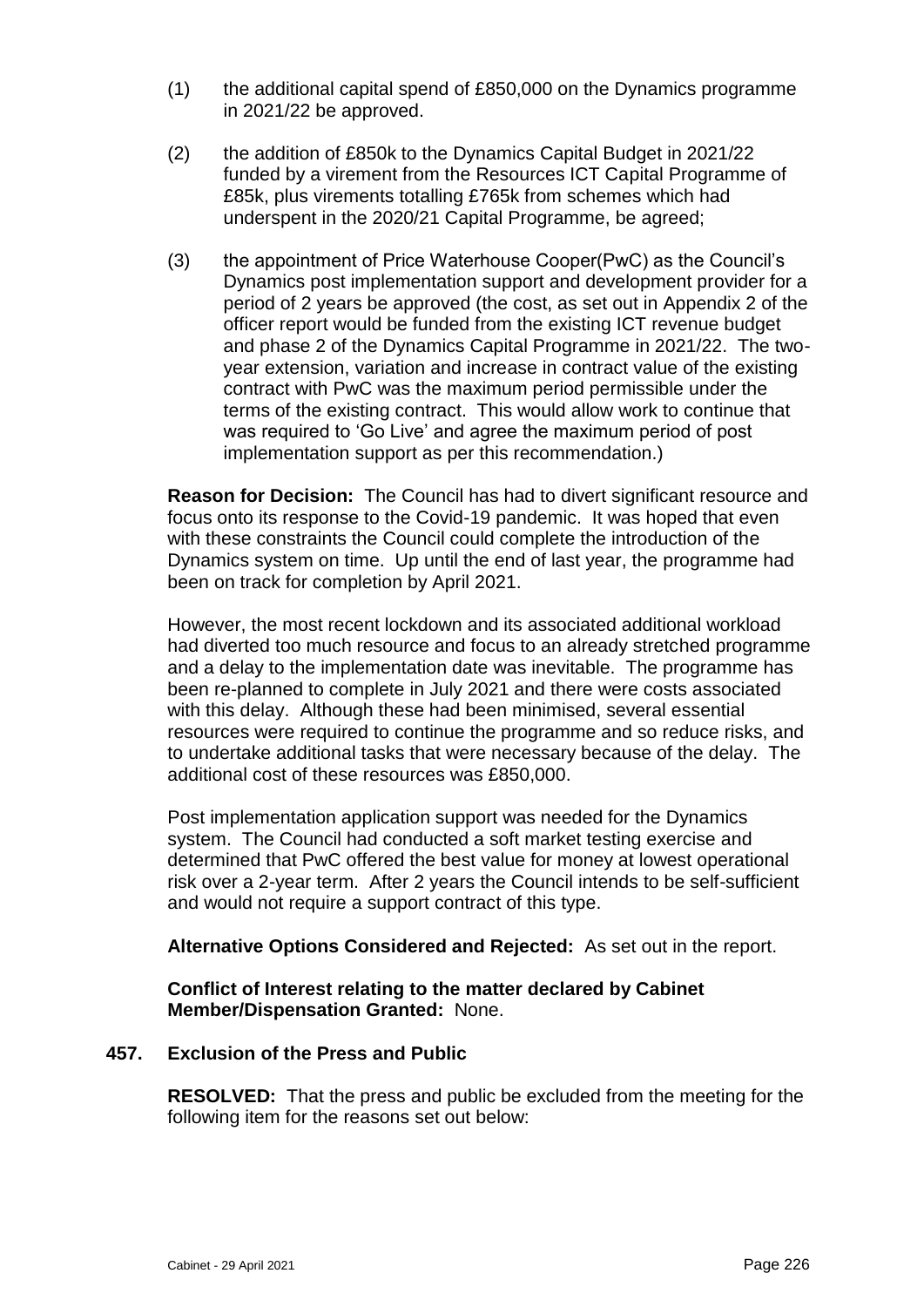- (1) the additional capital spend of £850,000 on the Dynamics programme in 2021/22 be approved.
- (2) the addition of £850k to the Dynamics Capital Budget in 2021/22 funded by a virement from the Resources ICT Capital Programme of £85k, plus virements totalling £765k from schemes which had underspent in the 2020/21 Capital Programme, be agreed;
- (3) the appointment of Price Waterhouse Cooper(PwC) as the Council's Dynamics post implementation support and development provider for a period of 2 years be approved (the cost, as set out in Appendix 2 of the officer report would be funded from the existing ICT revenue budget and phase 2 of the Dynamics Capital Programme in 2021/22. The twoyear extension, variation and increase in contract value of the existing contract with PwC was the maximum period permissible under the terms of the existing contract. This would allow work to continue that was required to 'Go Live' and agree the maximum period of post implementation support as per this recommendation.)

**Reason for Decision:** The Council has had to divert significant resource and focus onto its response to the Covid-19 pandemic. It was hoped that even with these constraints the Council could complete the introduction of the Dynamics system on time. Up until the end of last year, the programme had been on track for completion by April 2021.

However, the most recent lockdown and its associated additional workload had diverted too much resource and focus to an already stretched programme and a delay to the implementation date was inevitable. The programme has been re-planned to complete in July 2021 and there were costs associated with this delay. Although these had been minimised, several essential resources were required to continue the programme and so reduce risks, and to undertake additional tasks that were necessary because of the delay. The additional cost of these resources was £850,000.

Post implementation application support was needed for the Dynamics system. The Council had conducted a soft market testing exercise and determined that PwC offered the best value for money at lowest operational risk over a 2-year term. After 2 years the Council intends to be self-sufficient and would not require a support contract of this type.

**Alternative Options Considered and Rejected:** As set out in the report.

**Conflict of Interest relating to the matter declared by Cabinet Member/Dispensation Granted:** None.

# **457. Exclusion of the Press and Public**

**RESOLVED:** That the press and public be excluded from the meeting for the following item for the reasons set out below: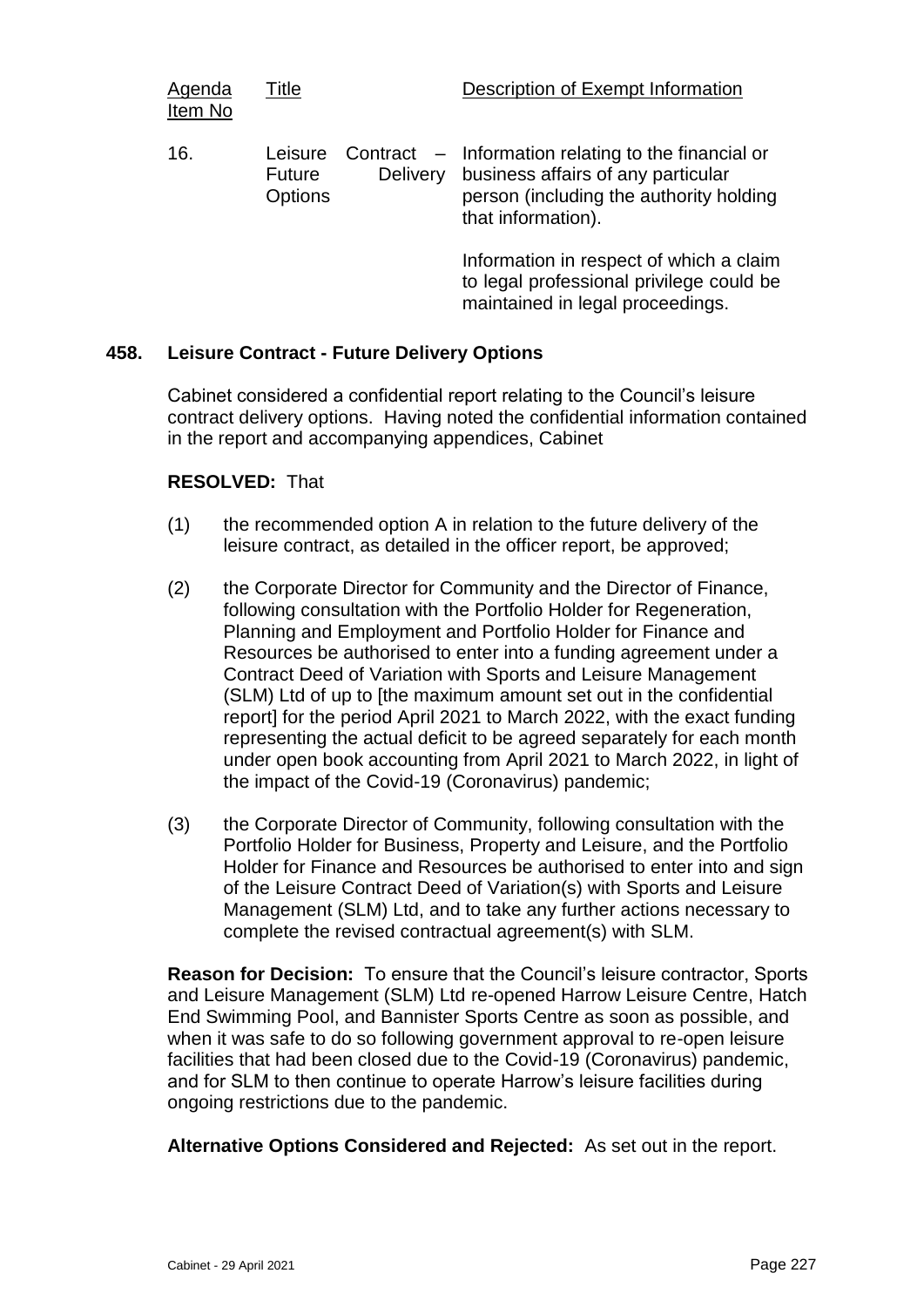| Agenda<br>Item No | Title                                      |                 | Description of Exempt Information                                                                                                                          |
|-------------------|--------------------------------------------|-----------------|------------------------------------------------------------------------------------------------------------------------------------------------------------|
| 16.               | Leisure<br><b>Future</b><br><b>Options</b> | <b>Delivery</b> | Contract – Information relating to the financial or<br>business affairs of any particular<br>person (including the authority holding<br>that information). |
|                   |                                            |                 | Information in respect of which a claim<br>to logal professional privilege could be                                                                        |

to legal professional privilege could be maintained in legal proceedings.

## **458. Leisure Contract - Future Delivery Options**

Cabinet considered a confidential report relating to the Council's leisure contract delivery options. Having noted the confidential information contained in the report and accompanying appendices, Cabinet

## **RESOLVED:** That

- (1) the recommended option A in relation to the future delivery of the leisure contract, as detailed in the officer report, be approved;
- (2) the Corporate Director for Community and the Director of Finance, following consultation with the Portfolio Holder for Regeneration, Planning and Employment and Portfolio Holder for Finance and Resources be authorised to enter into a funding agreement under a Contract Deed of Variation with Sports and Leisure Management (SLM) Ltd of up to [the maximum amount set out in the confidential report] for the period April 2021 to March 2022, with the exact funding representing the actual deficit to be agreed separately for each month under open book accounting from April 2021 to March 2022, in light of the impact of the Covid-19 (Coronavirus) pandemic;
- (3) the Corporate Director of Community, following consultation with the Portfolio Holder for Business, Property and Leisure, and the Portfolio Holder for Finance and Resources be authorised to enter into and sign of the Leisure Contract Deed of Variation(s) with Sports and Leisure Management (SLM) Ltd, and to take any further actions necessary to complete the revised contractual agreement(s) with SLM.

**Reason for Decision:** To ensure that the Council's leisure contractor, Sports and Leisure Management (SLM) Ltd re-opened Harrow Leisure Centre, Hatch End Swimming Pool, and Bannister Sports Centre as soon as possible, and when it was safe to do so following government approval to re-open leisure facilities that had been closed due to the Covid-19 (Coronavirus) pandemic, and for SLM to then continue to operate Harrow's leisure facilities during ongoing restrictions due to the pandemic.

**Alternative Options Considered and Rejected:** As set out in the report.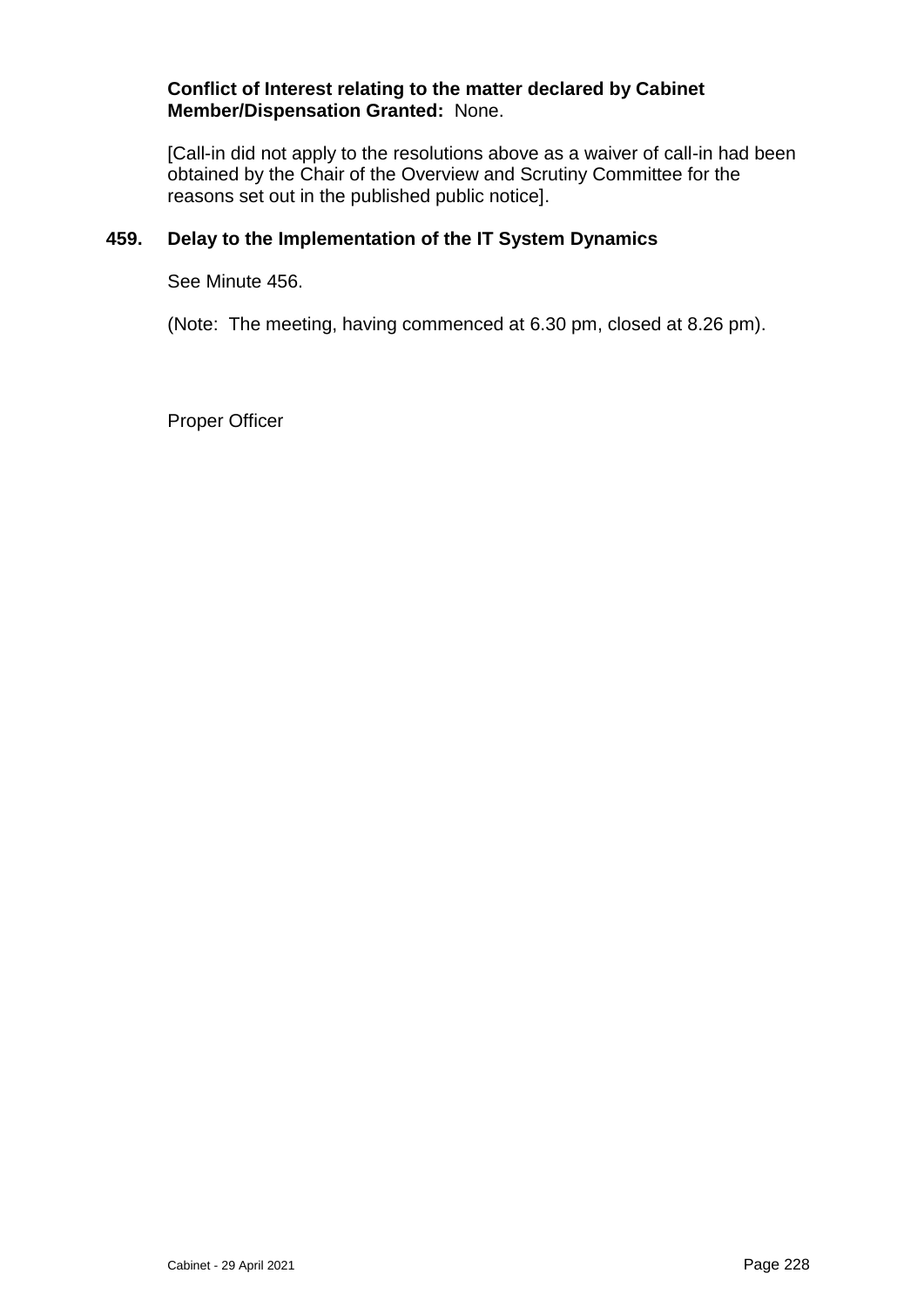#### **Conflict of Interest relating to the matter declared by Cabinet Member/Dispensation Granted:** None.

[Call-in did not apply to the resolutions above as a waiver of call-in had been obtained by the Chair of the Overview and Scrutiny Committee for the reasons set out in the published public notice].

# **459. Delay to the Implementation of the IT System Dynamics**

See Minute 456.

(Note: The meeting, having commenced at 6.30 pm, closed at 8.26 pm).

Proper Officer